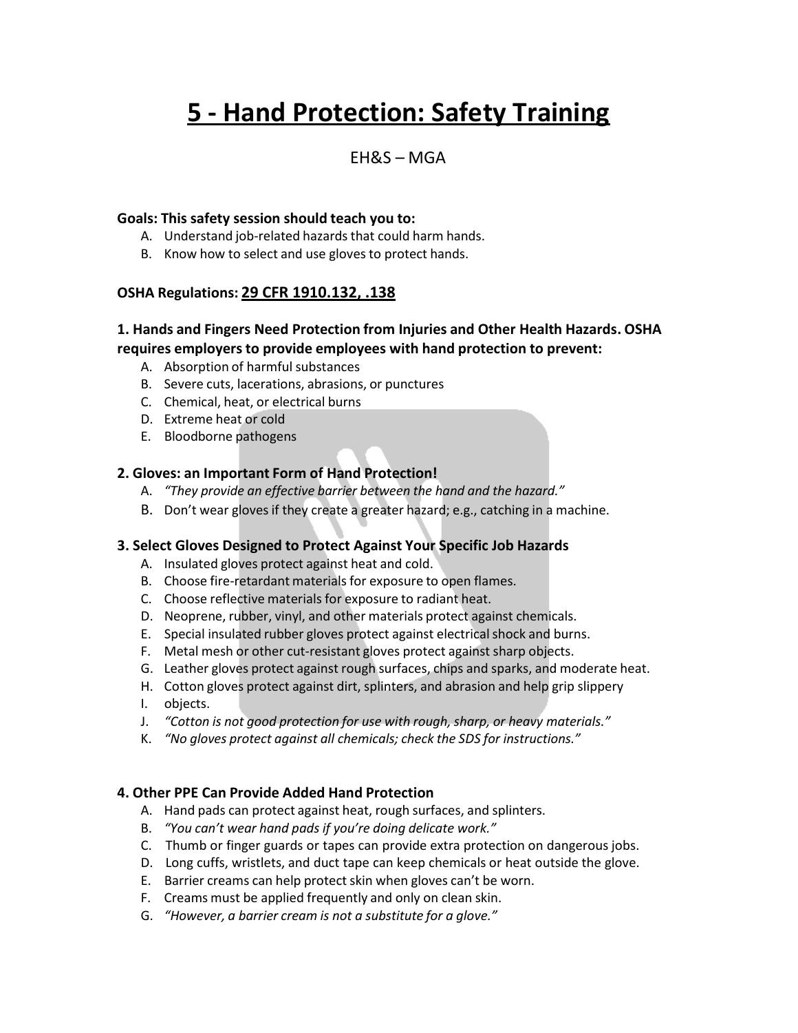# **5 - Hand Protection: Safety Training**

## EH&S – MGA

#### **Goals: This safety session should teach you to:**

- A. Understand job-related hazards that could harm hands.
- B. Know how to select and use gloves to protect hands.

#### **OSHA Regulations: 29 CFR 1910.132, .138**

### **1. Hands and Fingers Need Protection from Injuries and Other Health Hazards. OSHA requires employersto provide employees with hand protection to prevent:**

- A. Absorption of harmful substances
- B. Severe cuts, lacerations, abrasions, or punctures
- C. Chemical, heat, or electrical burns
- D. Extreme heat or cold
- E. Bloodborne pathogens

#### **2. Gloves: an Important Form of Hand Protection!**

- A. *"They provide an effective barrier between the hand and the hazard."*
- B. Don't wear gloves if they create a greater hazard; e.g., catching in a machine.

#### **3. Select Gloves Designed to Protect Against Your Specific Job Hazards**

- A. Insulated gloves protect against heat and cold.
- B. Choose fire-retardant materials for exposure to open flames.
- C. Choose reflective materials for exposure to radiant heat.
- D. Neoprene, rubber, vinyl, and other materials protect against chemicals.
- E. Special insulated rubber gloves protect against electrical shock and burns.
- F. Metal mesh or other cut-resistant gloves protect against sharp objects.
- G. Leather gloves protect against rough surfaces, chips and sparks, and moderate heat.
- H. Cotton gloves protect against dirt, splinters, and abrasion and help grip slippery
- I. objects.
- J. *"Cotton is not good protection for use with rough, sharp, or heavy materials."*
- K. *"No gloves protect against all chemicals; check the SDS for instructions."*

#### **4. Other PPE Can Provide Added Hand Protection**

- A. Hand pads can protect against heat, rough surfaces, and splinters.
- B. *"You can't wear hand pads if you're doing delicate work."*
- C. Thumb or finger guards or tapes can provide extra protection on dangerous jobs.
- D. Long cuffs, wristlets, and duct tape can keep chemicals or heat outside the glove.
- E. Barrier creams can help protect skin when gloves can't be worn.
- F. Creams must be applied frequently and only on clean skin.
- G. *"However, a barrier cream is not a substitute for a glove."*